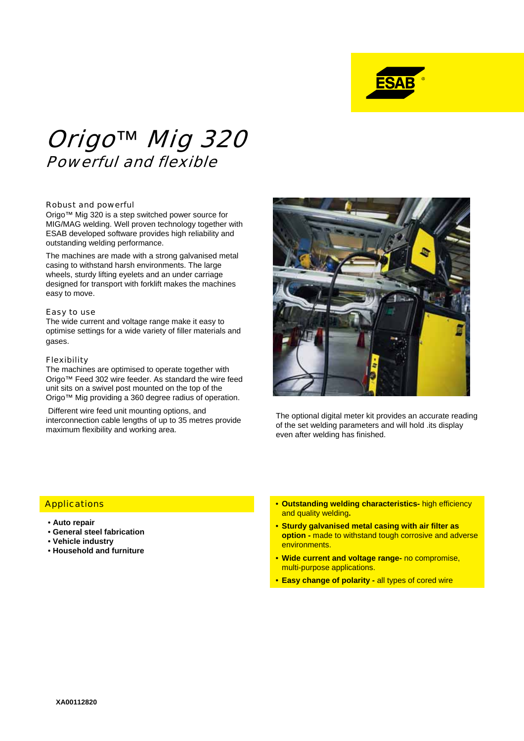

# Origo*™* Mig 320 Powerful and flexible

## Robust and powerful

Origo™ Mig 320 is a step switched power source for MIG/MAG welding. Well proven technology together with ESAB developed software provides high reliability and outstanding welding performance.

The machines are made with a strong galvanised metal casing to withstand harsh environments. The large wheels, sturdy lifting eyelets and an under carriage designed for transport with forklift makes the machines easy to move.

#### Easy to use

The wide current and voltage range make it easy to optimise settings for a wide variety of filler materials and gases.

## Flexibility

The machines are optimised to operate together with Origo™ Feed 302 wire feeder. As standard the wire feed unit sits on a swivel post mounted on the top of the Origo™ Mig providing a 360 degree radius of operation.

Different wire feed unit mounting options, and interconnection cable lengths of up to 35 metres provide maximum flexibility and working area.



The optional digital meter kit provides an accurate reading of the set welding parameters and will hold .its display even after welding has finished.

## **Applications**

- **Auto repair**
- **General steel fabrication**
- **Vehicle industry**
- **Household and furniture**
- **Outstanding welding characteristics-** high efficiency and quality welding**.**
- **Sturdy galvanised metal casing with air filter as option -** made to withstand tough corrosive and adverse environments.
- **Wide current and voltage range-** no compromise, multi-purpose applications.
- **Easy change of polarity -** all types of cored wire